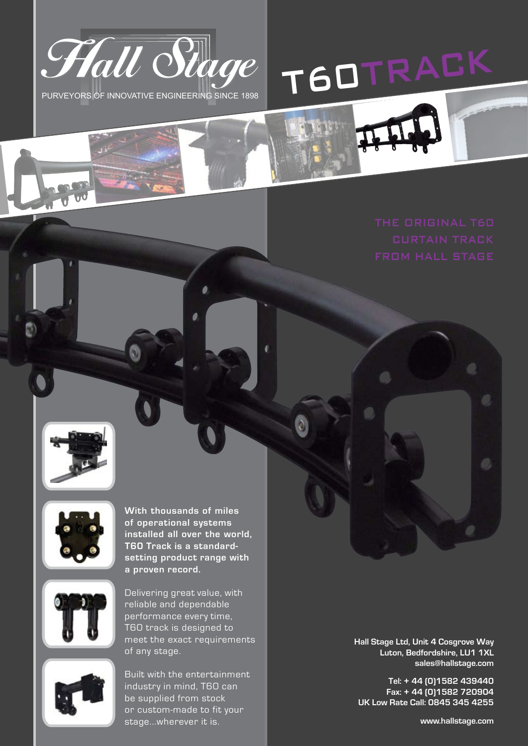









Delivering great value, with reliable and dependable performance every time, T60 track is designed to meet the exact requirements of any stage.



Built with the entertainment industry in mind, T60 can be supplied from stock or custom-made to fit your stage...wherever it is. **www.hallstage.com**

**Hall Stage Ltd, Unit 4 Cosgrove Way Luton, Bedfordshire, LU1 1XL sales@hallstage.com**

**Tel: + 44 (0)1582 439440 Fax: + 44 (0)1582 720904 UK Low Rate Call: 0845 345 4255**